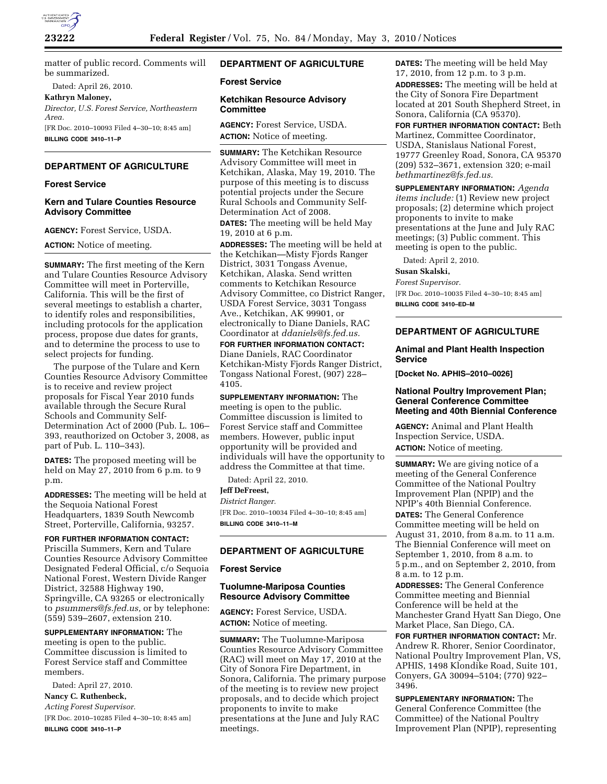

matter of public record. Comments will be summarized.

Dated: April 26, 2010.

**Kathryn Maloney,** 

*Director, U.S. Forest Service, Northeastern Area.*  [FR Doc. 2010–10093 Filed 4–30–10; 8:45 am] **BILLING CODE 3410–11–P** 

## **DEPARTMENT OF AGRICULTURE**

## **Forest Service**

## **Kern and Tulare Counties Resource Advisory Committee**

**AGENCY:** Forest Service, USDA.

**ACTION:** Notice of meeting.

**SUMMARY:** The first meeting of the Kern and Tulare Counties Resource Advisory Committee will meet in Porterville, California. This will be the first of several meetings to establish a charter, to identify roles and responsibilities, including protocols for the application process, propose due dates for grants, and to determine the process to use to select projects for funding.

The purpose of the Tulare and Kern Counties Resource Advisory Committee is to receive and review project proposals for Fiscal Year 2010 funds available through the Secure Rural Schools and Community Self-Determination Act of 2000 (Pub. L. 106– 393, reauthorized on October 3, 2008, as part of Pub. L. 110–343).

**DATES:** The proposed meeting will be held on May 27, 2010 from 6 p.m. to 9 p.m.

**ADDRESSES:** The meeting will be held at the Sequoia National Forest Headquarters, 1839 South Newcomb Street, Porterville, California, 93257.

**FOR FURTHER INFORMATION CONTACT:**  Priscilla Summers, Kern and Tulare Counties Resource Advisory Committee Designated Federal Official, c/o Sequoia National Forest, Western Divide Ranger District, 32588 Highway 190, Springville, CA 93265 or electronically to *psummers@fs.fed.us,* or by telephone:

**SUPPLEMENTARY INFORMATION:** The meeting is open to the public. Committee discussion is limited to Forest Service staff and Committee members.

(559) 539–2607, extension 210.

Dated: April 27, 2010. **Nancy C. Ruthenbeck,** 

*Acting Forest Supervisor.* 

[FR Doc. 2010–10285 Filed 4–30–10; 8:45 am] **BILLING CODE 3410–11–P** 

# **DEPARTMENT OF AGRICULTURE**

### **Forest Service**

### **Ketchikan Resource Advisory Committee**

**AGENCY:** Forest Service, USDA. **ACTION:** Notice of meeting.

**SUMMARY:** The Ketchikan Resource Advisory Committee will meet in Ketchikan, Alaska, May 19, 2010. The purpose of this meeting is to discuss potential projects under the Secure Rural Schools and Community Self-Determination Act of 2008.

**DATES:** The meeting will be held May 19, 2010 at 6 p.m.

**ADDRESSES:** The meeting will be held at the Ketchikan—Misty Fjords Ranger District, 3031 Tongass Avenue, Ketchikan, Alaska. Send written comments to Ketchikan Resource Advisory Committee, co District Ranger, USDA Forest Service, 3031 Tongass Ave., Ketchikan, AK 99901, or electronically to Diane Daniels, RAC Coordinator at *ddaniels@fs.fed.us.*  **FOR FURTHER INFORMATION CONTACT:**  Diane Daniels, RAC Coordinator Ketchikan-Misty Fjords Ranger District,

Tongass National Forest, (907) 228– 4105.

**SUPPLEMENTARY INFORMATION:** The meeting is open to the public. Committee discussion is limited to Forest Service staff and Committee members. However, public input opportunity will be provided and individuals will have the opportunity to address the Committee at that time.

Dated: April 22, 2010.

# **Jeff DeFreest,**

*District Ranger.*  [FR Doc. 2010–10034 Filed 4–30–10; 8:45 am] **BILLING CODE 3410–11–M** 

# **DEPARTMENT OF AGRICULTURE**

## **Forest Service**

## **Tuolumne-Mariposa Counties Resource Advisory Committee**

**AGENCY:** Forest Service, USDA. **ACTION:** Notice of meeting.

**SUMMARY:** The Tuolumne-Mariposa Counties Resource Advisory Committee (RAC) will meet on May 17, 2010 at the City of Sonora Fire Department, in Sonora, California. The primary purpose of the meeting is to review new project proposals, and to decide which project proponents to invite to make presentations at the June and July RAC meetings.

**DATES:** The meeting will be held May 17, 2010, from 12 p.m. to 3 p.m. **ADDRESSES:** The meeting will be held at the City of Sonora Fire Department located at 201 South Shepherd Street, in Sonora, California (CA 95370).

**FOR FURTHER INFORMATION CONTACT:** Beth Martinez, Committee Coordinator, USDA, Stanislaus National Forest, 19777 Greenley Road, Sonora, CA 95370 (209) 532–3671, extension 320; e-mail *bethmartinez@fs.fed.us.* 

**SUPPLEMENTARY INFORMATION:** *Agenda items include:* (1) Review new project proposals; (2) determine which project proponents to invite to make presentations at the June and July RAC meetings; (3) Public comment. This meeting is open to the public.

Dated: April 2, 2010.

**Susan Skalski,** 

*Forest Supervisor.*  [FR Doc. 2010–10035 Filed 4–30–10; 8:45 am] **BILLING CODE 3410–ED–M** 

## **DEPARTMENT OF AGRICULTURE**

**Animal and Plant Health Inspection Service** 

**[Docket No. APHIS–2010–0026]** 

### **National Poultry Improvement Plan; General Conference Committee Meeting and 40th Biennial Conference**

**AGENCY:** Animal and Plant Health Inspection Service, USDA. **ACTION:** Notice of meeting.

**SUMMARY:** We are giving notice of a meeting of the General Conference Committee of the National Poultry Improvement Plan (NPIP) and the NPIP's 40th Biennial Conference. **DATES:** The General Conference Committee meeting will be held on August 31, 2010, from 8 a.m. to 11 a.m. The Biennial Conference will meet on September 1, 2010, from 8 a.m. to 5 p.m., and on September 2, 2010, from 8 a.m. to 12 p.m.

**ADDRESSES:** The General Conference Committee meeting and Biennial Conference will be held at the Manchester Grand Hyatt San Diego, One Market Place, San Diego, CA.

**FOR FURTHER INFORMATION CONTACT:** Mr. Andrew R. Rhorer, Senior Coordinator, National Poultry Improvement Plan, VS, APHIS, 1498 Klondike Road, Suite 101, Conyers, GA 30094–5104; (770) 922– 3496.

**SUPPLEMENTARY INFORMATION:** The General Conference Committee (the Committee) of the National Poultry Improvement Plan (NPIP), representing